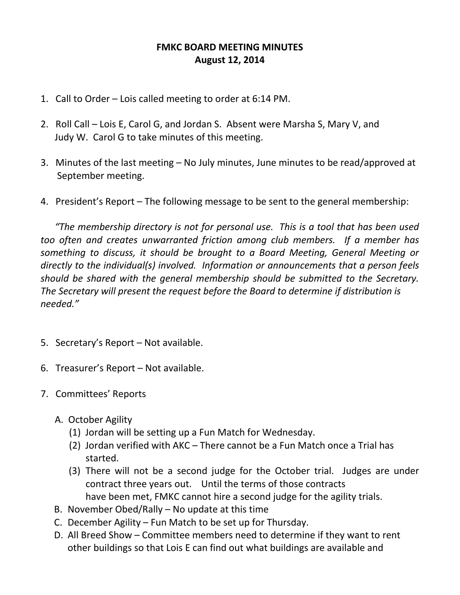## **FMKC BOARD MEETING MINUTES August 12, 2014**

- 1. Call to Order Lois called meeting to order at 6:14 PM.
- 2. Roll Call Lois E, Carol G, and Jordan S. Absent were Marsha S, Mary V, and Judy W. Carol G to take minutes of this meeting.
- 3. Minutes of the last meeting No July minutes, June minutes to be read/approved at September meeting.
- 4. President's Report The following message to be sent to the general membership:

 *"The membership directory is not for personal use. This is a tool that has been used too often and creates unwarranted friction among club members. If a member has something to discuss, it should be brought to a Board Meeting, General Meeting or directly to the individual(s) involved. Information or announcements that a person feels should be shared with the general membership should be submitted to the Secretary. The Secretary will present the request before the Board to determine if distribution is needed."*

- 5. Secretary's Report Not available.
- 6. Treasurer's Report Not available.
- 7. Committees' Reports
	- A. October Agility
		- (1) Jordan will be setting up a Fun Match for Wednesday.
		- (2) Jordan verified with AKC There cannot be a Fun Match once a Trial has started.
		- (3) There will not be a second judge for the October trial. Judges are under contract three years out. Until the terms of those contracts have been met, FMKC cannot hire a second judge for the agility trials.
	- B. November Obed/Rally No update at this time
	- C. December Agility Fun Match to be set up for Thursday.
	- D. All Breed Show Committee members need to determine if they want to rent other buildings so that Lois E can find out what buildings are available and